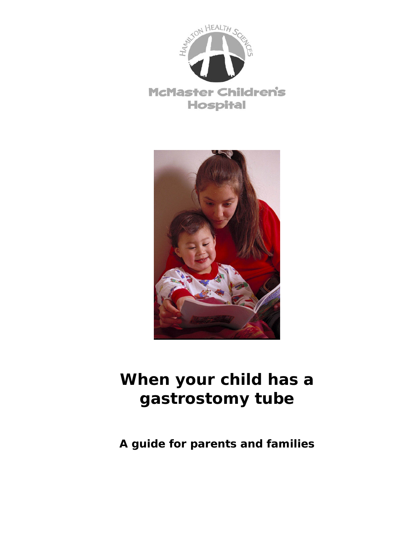



# **When your child has a gastrostomy tube**

**A guide for parents and families**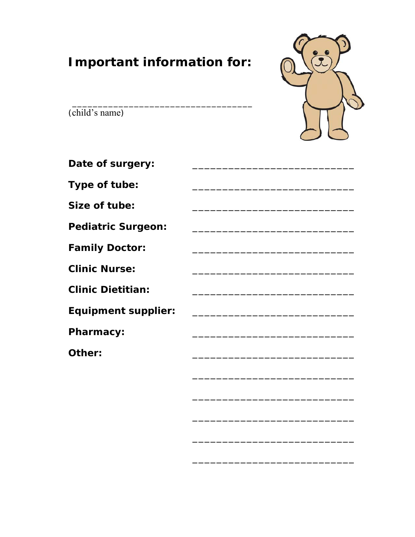# **Important information for:**



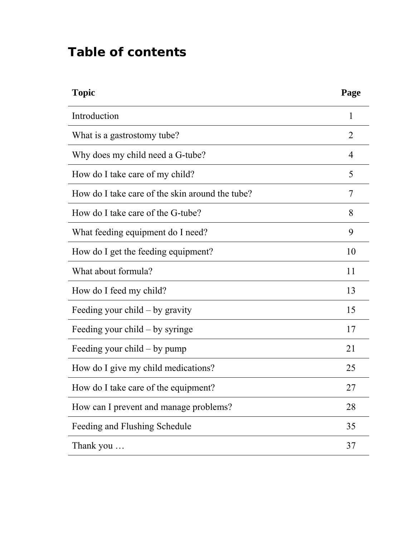# **Table of contents**

| <b>Topic</b>                                    | Page           |
|-------------------------------------------------|----------------|
| Introduction                                    | 1              |
| What is a gastrostomy tube?                     | $\overline{2}$ |
| Why does my child need a G-tube?                | 4              |
| How do I take care of my child?                 | 5              |
| How do I take care of the skin around the tube? | 7              |
| How do I take care of the G-tube?               | 8              |
| What feeding equipment do I need?               | 9              |
| How do I get the feeding equipment?             | 10             |
| What about formula?                             | 11             |
| How do I feed my child?                         | 13             |
| Feeding your $child - by$ gravity               | 15             |
| Feeding your child – by syringe                 | 17             |
| Feeding your $child - by pump$                  | 21             |
| How do I give my child medications?             | 25             |
| How do I take care of the equipment?            | 27             |
| How can I prevent and manage problems?          | 28             |
| Feeding and Flushing Schedule                   | 35             |
| Thank you                                       | 37             |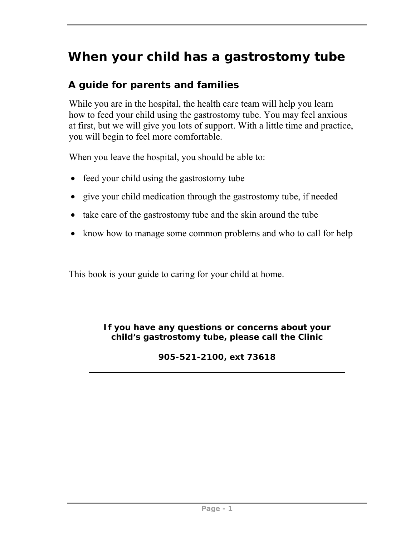# **When your child has a gastrostomy tube**

#### **A guide for parents and families**

While you are in the hospital, the health care team will help you learn how to feed your child using the gastrostomy tube. You may feel anxious at first, but we will give you lots of support. With a little time and practice, you will begin to feel more comfortable.

When you leave the hospital, you should be able to:

- feed your child using the gastrostomy tube
- give your child medication through the gastrostomy tube, if needed
- take care of the gastrostomy tube and the skin around the tube
- know how to manage some common problems and who to call for help

This book is your guide to caring for your child at home.

**If you have any questions or concerns about your child's gastrostomy tube, please call the Clinic** 

**905-521-2100, ext 73618**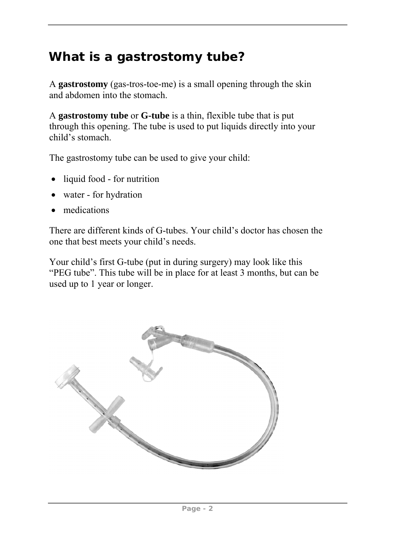## **What is a gastrostomy tube?**

A **gastrostomy** (gas-tros-toe-me) is a small opening through the skin and abdomen into the stomach.

A **gastrostomy tube** or **G-tube** is a thin, flexible tube that is put through this opening. The tube is used to put liquids directly into your child's stomach.

The gastrostomy tube can be used to give your child:

- liquid food for nutrition
- water for hydration
- medications

There are different kinds of G-tubes. Your child's doctor has chosen the one that best meets your child's needs.

Your child's first G-tube (put in during surgery) may look like this "PEG tube". This tube will be in place for at least 3 months, but can be used up to 1 year or longer.

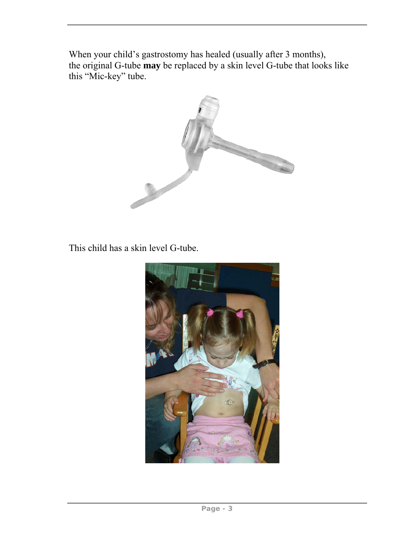When your child's gastrostomy has healed (usually after 3 months), the original G-tube **may** be replaced by a skin level G-tube that looks like this "Mic-key" tube.



This child has a skin level G-tube.

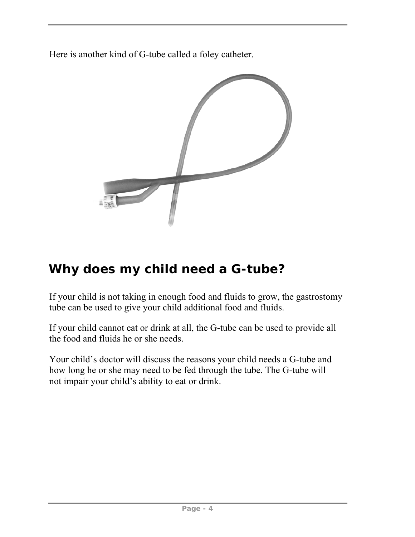Here is another kind of G-tube called a foley catheter.



# **Why does my child need a G-tube?**

If your child is not taking in enough food and fluids to grow, the gastrostomy tube can be used to give your child additional food and fluids.

If your child cannot eat or drink at all, the G-tube can be used to provide all the food and fluids he or she needs.

Your child's doctor will discuss the reasons your child needs a G-tube and how long he or she may need to be fed through the tube. The G-tube will not impair your child's ability to eat or drink.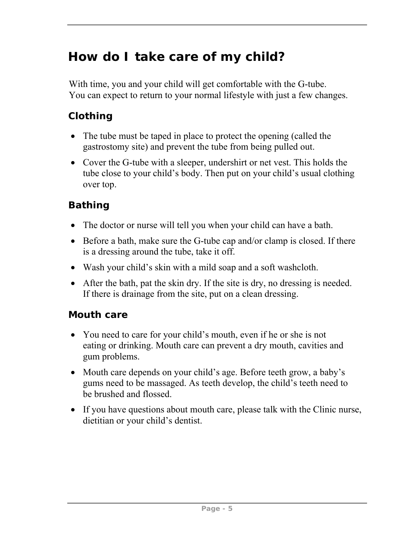# **How do I take care of my child?**

With time, you and your child will get comfortable with the G-tube. You can expect to return to your normal lifestyle with just a few changes.

## **Clothing**

- The tube must be taped in place to protect the opening (called the gastrostomy site) and prevent the tube from being pulled out.
- Cover the G-tube with a sleeper, undershirt or net vest. This holds the tube close to your child's body. Then put on your child's usual clothing over top.

## **Bathing**

- The doctor or nurse will tell you when your child can have a bath.
- Before a bath, make sure the G-tube cap and/or clamp is closed. If there is a dressing around the tube, take it off.
- Wash your child's skin with a mild soap and a soft washcloth.
- After the bath, pat the skin dry. If the site is dry, no dressing is needed. If there is drainage from the site, put on a clean dressing.

#### **Mouth care**

- You need to care for your child's mouth, even if he or she is not eating or drinking. Mouth care can prevent a dry mouth, cavities and gum problems.
- Mouth care depends on your child's age. Before teeth grow, a baby's gums need to be massaged. As teeth develop, the child's teeth need to be brushed and flossed.
- If you have questions about mouth care, please talk with the Clinic nurse, dietitian or your child's dentist.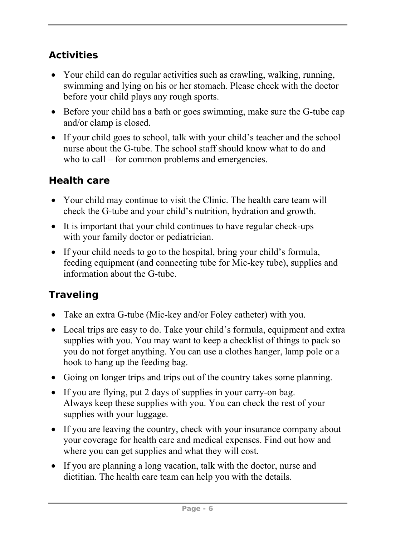## **Activities**

- Your child can do regular activities such as crawling, walking, running, swimming and lying on his or her stomach. Please check with the doctor before your child plays any rough sports.
- Before your child has a bath or goes swimming, make sure the G-tube cap and/or clamp is closed.
- If your child goes to school, talk with your child's teacher and the school nurse about the G-tube. The school staff should know what to do and who to call – for common problems and emergencies.

## **Health care**

- Your child may continue to visit the Clinic. The health care team will check the G-tube and your child's nutrition, hydration and growth.
- It is important that your child continues to have regular check-ups with your family doctor or pediatrician.
- If your child needs to go to the hospital, bring your child's formula, feeding equipment (and connecting tube for Mic-key tube), supplies and information about the G-tube.

## **Traveling**

- Take an extra G-tube (Mic-key and/or Foley catheter) with you.
- Local trips are easy to do. Take your child's formula, equipment and extra supplies with you. You may want to keep a checklist of things to pack so you do not forget anything. You can use a clothes hanger, lamp pole or a hook to hang up the feeding bag.
- Going on longer trips and trips out of the country takes some planning.
- If you are flying, put 2 days of supplies in your carry-on bag. Always keep these supplies with you. You can check the rest of your supplies with your luggage.
- If you are leaving the country, check with your insurance company about your coverage for health care and medical expenses. Find out how and where you can get supplies and what they will cost.
- If you are planning a long vacation, talk with the doctor, nurse and dietitian. The health care team can help you with the details.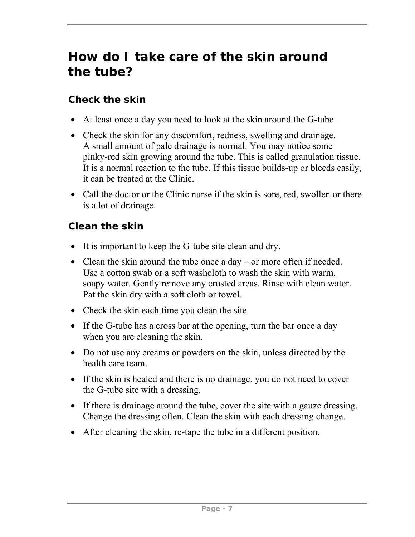# **How do I take care of the skin around the tube?**

#### **Check the skin**

- At least once a day you need to look at the skin around the G-tube.
- Check the skin for any discomfort, redness, swelling and drainage. A small amount of pale drainage is normal. You may notice some pinky-red skin growing around the tube. This is called granulation tissue. It is a normal reaction to the tube. If this tissue builds-up or bleeds easily, it can be treated at the Clinic.
- Call the doctor or the Clinic nurse if the skin is sore, red, swollen or there is a lot of drainage.

#### **Clean the skin**

- It is important to keep the G-tube site clean and dry.
- Clean the skin around the tube once a day or more often if needed. Use a cotton swab or a soft washcloth to wash the skin with warm, soapy water. Gently remove any crusted areas. Rinse with clean water. Pat the skin dry with a soft cloth or towel.
- Check the skin each time you clean the site.
- If the G-tube has a cross bar at the opening, turn the bar once a day when you are cleaning the skin.
- Do not use any creams or powders on the skin, unless directed by the health care team.
- If the skin is healed and there is no drainage, you do not need to cover the G-tube site with a dressing.
- If there is drainage around the tube, cover the site with a gauze dressing. Change the dressing often. Clean the skin with each dressing change.
- After cleaning the skin, re-tape the tube in a different position.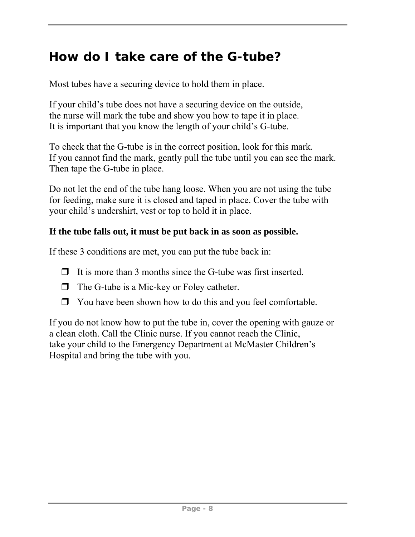## **How do I take care of the G-tube?**

Most tubes have a securing device to hold them in place.

If your child's tube does not have a securing device on the outside, the nurse will mark the tube and show you how to tape it in place. It is important that you know the length of your child's G-tube.

To check that the G-tube is in the correct position, look for this mark. If you cannot find the mark, gently pull the tube until you can see the mark. Then tape the G-tube in place.

Do not let the end of the tube hang loose. When you are not using the tube for feeding, make sure it is closed and taped in place. Cover the tube with your child's undershirt, vest or top to hold it in place.

#### **If the tube falls out, it must be put back in as soon as possible.**

If these 3 conditions are met, you can put the tube back in:

- $\Box$  It is more than 3 months since the G-tube was first inserted.
- $\Box$  The G-tube is a Mic-key or Foley catheter.
- $\Box$  You have been shown how to do this and you feel comfortable.

If you do not know how to put the tube in, cover the opening with gauze or a clean cloth. Call the Clinic nurse. If you cannot reach the Clinic, take your child to the Emergency Department at McMaster Children's Hospital and bring the tube with you.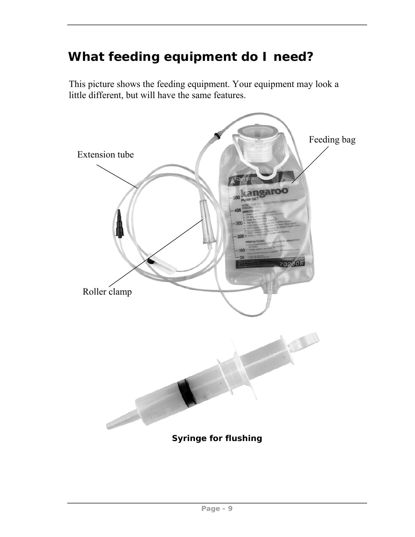# **What feeding equipment do I need?**

This picture shows the feeding equipment. Your equipment may look a little different, but will have the same features.

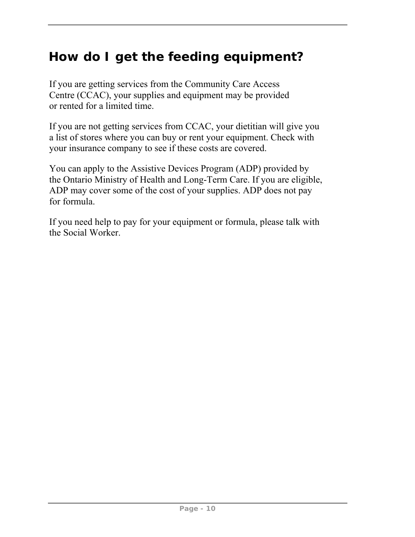# **How do I get the feeding equipment?**

If you are getting services from the Community Care Access Centre (CCAC), your supplies and equipment may be provided or rented for a limited time.

If you are not getting services from CCAC, your dietitian will give you a list of stores where you can buy or rent your equipment. Check with your insurance company to see if these costs are covered.

You can apply to the Assistive Devices Program (ADP) provided by the Ontario Ministry of Health and Long-Term Care. If you are eligible, ADP may cover some of the cost of your supplies. ADP does not pay for formula.

If you need help to pay for your equipment or formula, please talk with the Social Worker.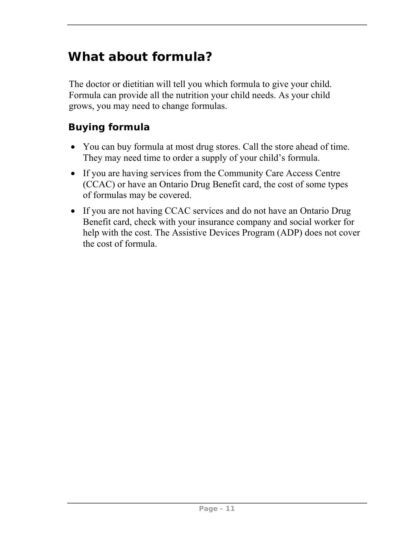# **What about formula?**

The doctor or dietitian will tell you which formula to give your child. Formula can provide all the nutrition your child needs. As your child grows, you may need to change formulas.

#### **Buying formula**

- You can buy formula at most drug stores. Call the store ahead of time. They may need time to order a supply of your child's formula.
- If you are having services from the Community Care Access Centre (CCAC) or have an Ontario Drug Benefit card, the cost of some types of formulas may be covered.
- If you are not having CCAC services and do not have an Ontario Drug Benefit card, check with your insurance company and social worker for help with the cost. The Assistive Devices Program (ADP) does not cover the cost of formula.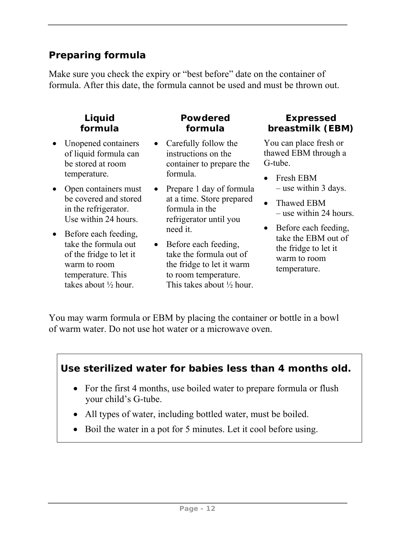#### **Preparing formula**

Make sure you check the expiry or "best before" date on the container of formula. After this date, the formula cannot be used and must be thrown out.

#### **Liquid formula**

- Unopened containers of liquid formula can be stored at room temperature.
- Open containers must be covered and stored in the refrigerator. Use within 24 hours.
- Before each feeding, take the formula out of the fridge to let it warm to room temperature. This takes about ½ hour.

#### **Powdered formula**

- Carefully follow the instructions on the container to prepare the formula.
- Prepare 1 day of formula at a time. Store prepared formula in the refrigerator until you need it.
- Before each feeding, take the formula out of the fridge to let it warm to room temperature. This takes about ½ hour.

#### **Expressed breastmilk (EBM)**

You can place fresh or thawed EBM through a G-tube.

- Fresh EBM – use within 3 days.
- Thawed EBM – use within 24 hours.
- Before each feeding, take the EBM out of the fridge to let it warm to room temperature.

You may warm formula or EBM by placing the container or bottle in a bowl of warm water. Do not use hot water or a microwave oven.

![](_page_17_Figure_16.jpeg)

- For the first 4 months, use boiled water to prepare formula or flush your child's G-tube.
- All types of water, including bottled water, must be boiled.
- Boil the water in a pot for 5 minutes. Let it cool before using.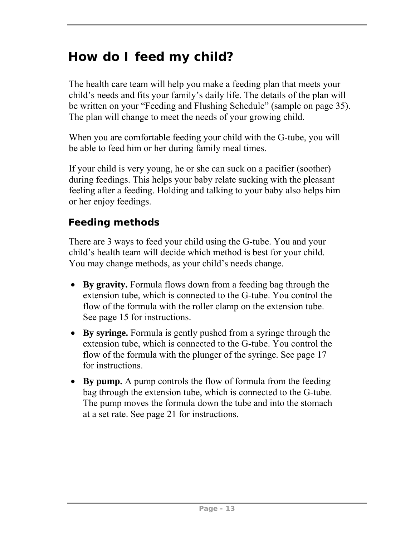# **How do I feed my child?**

The health care team will help you make a feeding plan that meets your child's needs and fits your family's daily life. The details of the plan will be written on your "Feeding and Flushing Schedule" (sample on page 35). The plan will change to meet the needs of your growing child.

When you are comfortable feeding your child with the G-tube, you will be able to feed him or her during family meal times.

If your child is very young, he or she can suck on a pacifier (soother) during feedings. This helps your baby relate sucking with the pleasant feeling after a feeding. Holding and talking to your baby also helps him or her enjoy feedings.

## **Feeding methods**

There are 3 ways to feed your child using the G-tube. You and your child's health team will decide which method is best for your child. You may change methods, as your child's needs change.

- **By gravity.** Formula flows down from a feeding bag through the extension tube, which is connected to the G-tube. You control the flow of the formula with the roller clamp on the extension tube. See page 15 for instructions.
- **By syringe.** Formula is gently pushed from a syringe through the extension tube, which is connected to the G-tube. You control the flow of the formula with the plunger of the syringe. See page 17 for instructions.
- **By pump.** A pump controls the flow of formula from the feeding bag through the extension tube, which is connected to the G-tube. The pump moves the formula down the tube and into the stomach at a set rate. See page 21 for instructions.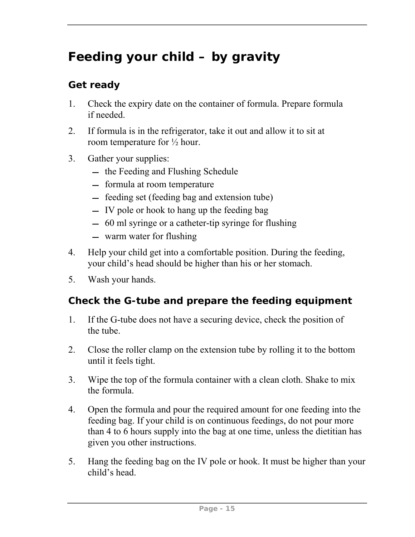# **Feeding your child – by gravity**

## **Get ready**

- 1. Check the expiry date on the container of formula. Prepare formula if needed.
- 2. If formula is in the refrigerator, take it out and allow it to sit at room temperature for ½ hour.
- 3. Gather your supplies:
	- $-$  the Feeding and Flushing Schedule
	- $-$  formula at room temperature
	- feeding set (feeding bag and extension tube)
	- $\overline{\phantom{a}}$  IV pole or hook to hang up the feeding bag
	- 60 ml syringe or a catheter-tip syringe for flushing
	- warm water for flushing
- 4. Help your child get into a comfortable position. During the feeding, your child's head should be higher than his or her stomach.
- 5. Wash your hands.

## **Check the G-tube and prepare the feeding equipment**

- 1. If the G-tube does not have a securing device, check the position of the tube.
- 2. Close the roller clamp on the extension tube by rolling it to the bottom until it feels tight.
- 3. Wipe the top of the formula container with a clean cloth. Shake to mix the formula.
- 4. Open the formula and pour the required amount for one feeding into the feeding bag. If your child is on continuous feedings, do not pour more than 4 to 6 hours supply into the bag at one time, unless the dietitian has given you other instructions.
- 5. Hang the feeding bag on the IV pole or hook. It must be higher than your child's head.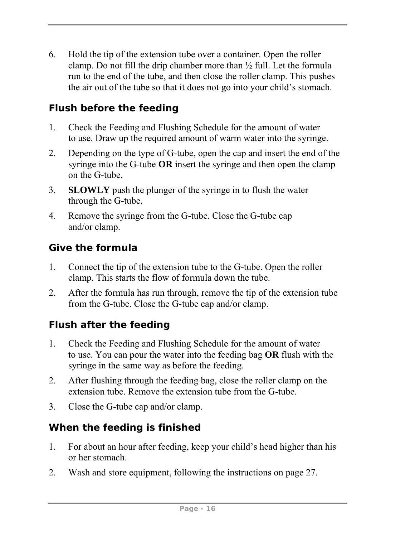6. Hold the tip of the extension tube over a container. Open the roller clamp. Do not fill the drip chamber more than  $\frac{1}{2}$  full. Let the formula run to the end of the tube, and then close the roller clamp. This pushes the air out of the tube so that it does not go into your child's stomach.

## **Flush before the feeding**

- 1. Check the Feeding and Flushing Schedule for the amount of water to use. Draw up the required amount of warm water into the syringe.
- 2. Depending on the type of G-tube, open the cap and insert the end of the syringe into the G-tube **OR** insert the syringe and then open the clamp on the G-tube.
- 3. **SLOWLY** push the plunger of the syringe in to flush the water through the G-tube.
- 4. Remove the syringe from the G-tube. Close the G-tube cap and/or clamp.

## **Give the formula**

- 1. Connect the tip of the extension tube to the G-tube. Open the roller clamp. This starts the flow of formula down the tube.
- 2. After the formula has run through, remove the tip of the extension tube from the G-tube. Close the G-tube cap and/or clamp.

## **Flush after the feeding**

- 1. Check the Feeding and Flushing Schedule for the amount of water to use. You can pour the water into the feeding bag **OR** flush with the syringe in the same way as before the feeding.
- 2. After flushing through the feeding bag, close the roller clamp on the extension tube. Remove the extension tube from the G-tube.
- 3. Close the G-tube cap and/or clamp.

## **When the feeding is finished**

- 1. For about an hour after feeding, keep your child's head higher than his or her stomach.
- 2. Wash and store equipment, following the instructions on page 27.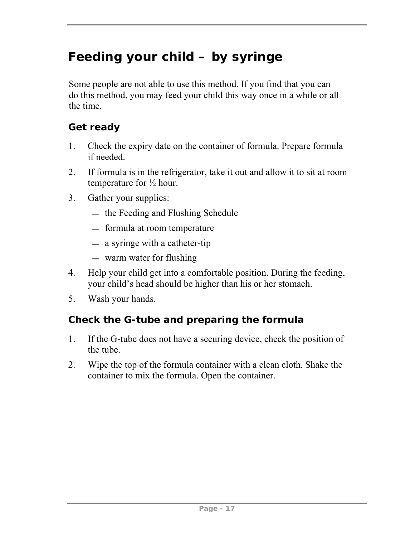# **Feeding your child – by syringe**

Some people are not able to use this method. If you find that you can do this method, you may feed your child this way once in a while or all the time.

#### **Get ready**

- 1. Check the expiry date on the container of formula. Prepare formula if needed.
- 2. If formula is in the refrigerator, take it out and allow it to sit at room temperature for ½ hour.
- 3. Gather your supplies:
	- $-$  the Feeding and Flushing Schedule
	- $-$  formula at room temperature
	- a syringe with a catheter-tip
	- warm water for flushing
- 4. Help your child get into a comfortable position. During the feeding, your child's head should be higher than his or her stomach.
- 5. Wash your hands.

## **Check the G-tube and preparing the formula**

- 1. If the G-tube does not have a securing device, check the position of the tube.
- 2. Wipe the top of the formula container with a clean cloth. Shake the container to mix the formula. Open the container.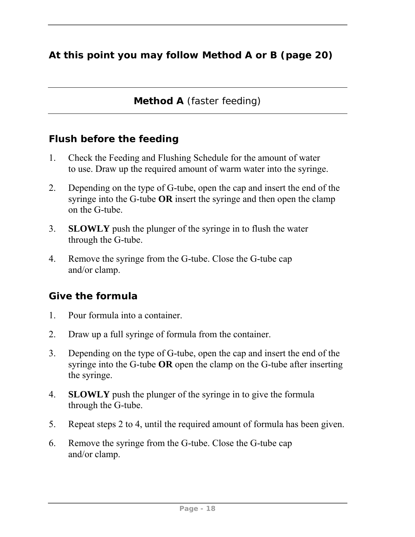## **At this point you may follow Method A or B (page 20)**

**Method A** (faster feeding)

#### **Flush before the feeding**

- 1. Check the Feeding and Flushing Schedule for the amount of water to use. Draw up the required amount of warm water into the syringe.
- 2. Depending on the type of G-tube, open the cap and insert the end of the syringe into the G-tube **OR** insert the syringe and then open the clamp on the G-tube.
- 3. **SLOWLY** push the plunger of the syringe in to flush the water through the G-tube.
- 4. Remove the syringe from the G-tube. Close the G-tube cap and/or clamp.

#### **Give the formula**

- 1. Pour formula into a container.
- 2. Draw up a full syringe of formula from the container.
- 3. Depending on the type of G-tube, open the cap and insert the end of the syringe into the G-tube **OR** open the clamp on the G-tube after inserting the syringe.
- 4. **SLOWLY** push the plunger of the syringe in to give the formula through the G-tube.
- 5. Repeat steps 2 to 4, until the required amount of formula has been given.
- 6. Remove the syringe from the G-tube. Close the G-tube cap and/or clamp.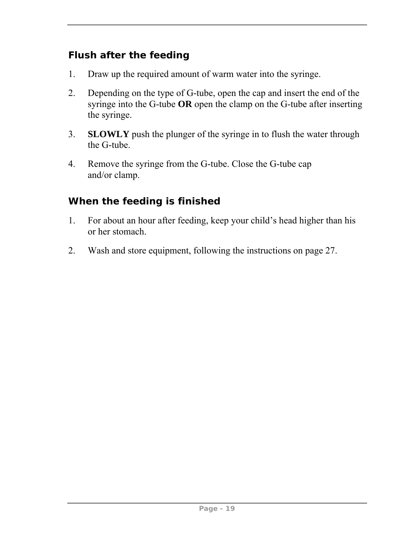## **Flush after the feeding**

- 1. Draw up the required amount of warm water into the syringe.
- 2. Depending on the type of G-tube, open the cap and insert the end of the syringe into the G-tube **OR** open the clamp on the G-tube after inserting the syringe.
- 3. **SLOWLY** push the plunger of the syringe in to flush the water through the G-tube.
- 4. Remove the syringe from the G-tube. Close the G-tube cap and/or clamp.

## **When the feeding is finished**

- 1. For about an hour after feeding, keep your child's head higher than his or her stomach.
- 2. Wash and store equipment, following the instructions on page 27.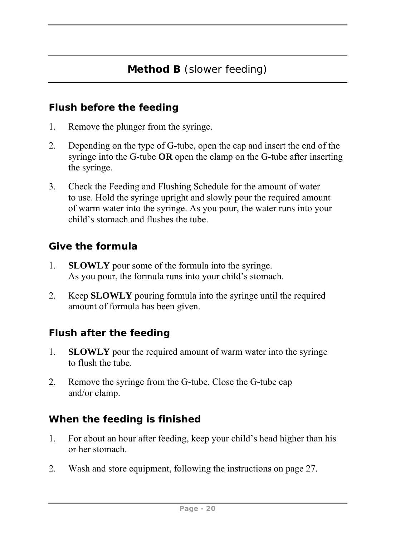#### **Flush before the feeding**

- 1. Remove the plunger from the syringe.
- 2. Depending on the type of G-tube, open the cap and insert the end of the syringe into the G-tube **OR** open the clamp on the G-tube after inserting the syringe.
- 3. Check the Feeding and Flushing Schedule for the amount of water to use. Hold the syringe upright and slowly pour the required amount of warm water into the syringe. As you pour, the water runs into your child's stomach and flushes the tube.

#### **Give the formula**

- 1. **SLOWLY** pour some of the formula into the syringe. As you pour, the formula runs into your child's stomach.
- 2. Keep **SLOWLY** pouring formula into the syringe until the required amount of formula has been given.

#### **Flush after the feeding**

- 1. **SLOWLY** pour the required amount of warm water into the syringe to flush the tube.
- 2. Remove the syringe from the G-tube. Close the G-tube cap and/or clamp.

#### **When the feeding is finished**

- 1. For about an hour after feeding, keep your child's head higher than his or her stomach.
- 2. Wash and store equipment, following the instructions on page 27.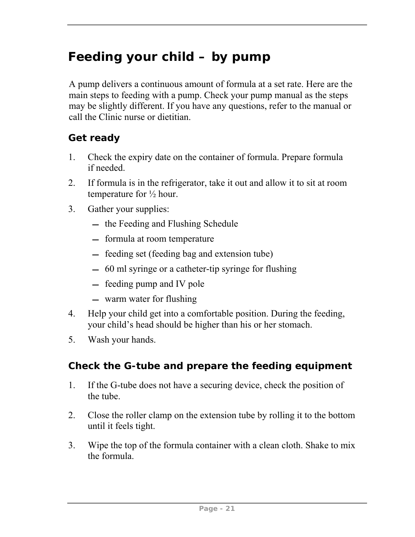# **Feeding your child – by pump**

A pump delivers a continuous amount of formula at a set rate. Here are the main steps to feeding with a pump. Check your pump manual as the steps may be slightly different. If you have any questions, refer to the manual or call the Clinic nurse or dietitian.

#### **Get ready**

- 1. Check the expiry date on the container of formula. Prepare formula if needed.
- 2. If formula is in the refrigerator, take it out and allow it to sit at room temperature for ½ hour.
- 3. Gather your supplies:
	- $-$  the Feeding and Flushing Schedule
	- formula at room temperature
	- feeding set (feeding bag and extension tube)
	- 60 ml syringe or a catheter-tip syringe for flushing
	- feeding pump and IV pole
	- warm water for flushing
- 4. Help your child get into a comfortable position. During the feeding, your child's head should be higher than his or her stomach.
- 5. Wash your hands.

#### **Check the G-tube and prepare the feeding equipment**

- 1. If the G-tube does not have a securing device, check the position of the tube.
- 2. Close the roller clamp on the extension tube by rolling it to the bottom until it feels tight.
- 3. Wipe the top of the formula container with a clean cloth. Shake to mix the formula.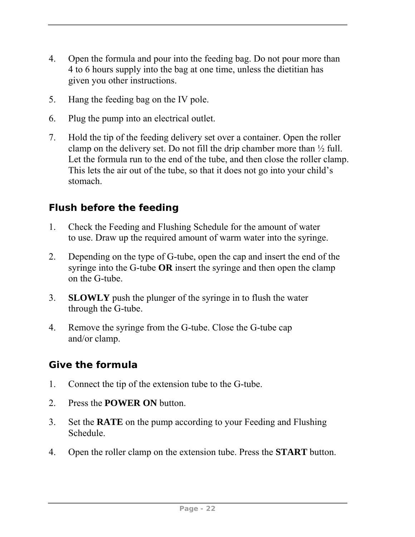- 4. Open the formula and pour into the feeding bag. Do not pour more than 4 to 6 hours supply into the bag at one time, unless the dietitian has given you other instructions.
- 5. Hang the feeding bag on the IV pole.
- 6. Plug the pump into an electrical outlet.
- 7. Hold the tip of the feeding delivery set over a container. Open the roller clamp on the delivery set. Do not fill the drip chamber more than  $\frac{1}{2}$  full. Let the formula run to the end of the tube, and then close the roller clamp. This lets the air out of the tube, so that it does not go into your child's stomach.

#### **Flush before the feeding**

- 1. Check the Feeding and Flushing Schedule for the amount of water to use. Draw up the required amount of warm water into the syringe.
- 2. Depending on the type of G-tube, open the cap and insert the end of the syringe into the G-tube **OR** insert the syringe and then open the clamp on the G-tube.
- 3. **SLOWLY** push the plunger of the syringe in to flush the water through the G-tube.
- 4. Remove the syringe from the G-tube. Close the G-tube cap and/or clamp.

#### **Give the formula**

- 1. Connect the tip of the extension tube to the G-tube.
- 2. Press the **POWER ON** button.
- 3. Set the **RATE** on the pump according to your Feeding and Flushing Schedule.
- 4. Open the roller clamp on the extension tube. Press the **START** button.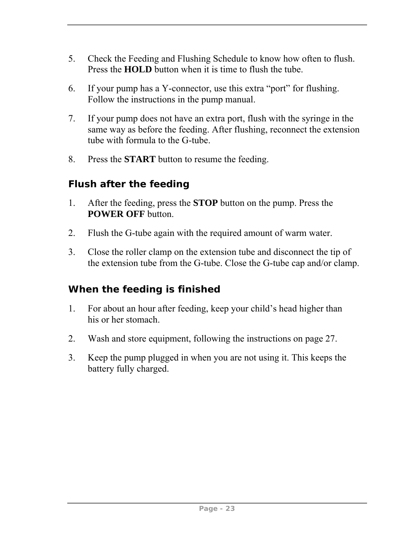- 5. Check the Feeding and Flushing Schedule to know how often to flush. Press the **HOLD** button when it is time to flush the tube.
- 6. If your pump has a Y-connector, use this extra "port" for flushing. Follow the instructions in the pump manual.
- 7. If your pump does not have an extra port, flush with the syringe in the same way as before the feeding. After flushing, reconnect the extension tube with formula to the G-tube.
- 8. Press the **START** button to resume the feeding.

#### **Flush after the feeding**

- 1. After the feeding, press the **STOP** button on the pump. Press the **POWER OFF** button.
- 2. Flush the G-tube again with the required amount of warm water.
- 3. Close the roller clamp on the extension tube and disconnect the tip of the extension tube from the G-tube. Close the G-tube cap and/or clamp.

#### **When the feeding is finished**

- 1. For about an hour after feeding, keep your child's head higher than his or her stomach.
- 2. Wash and store equipment, following the instructions on page 27.
- 3. Keep the pump plugged in when you are not using it. This keeps the battery fully charged.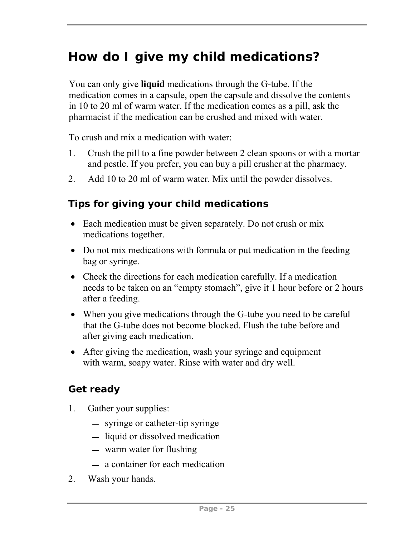# **How do I give my child medications?**

You can only give **liquid** medications through the G-tube. If the medication comes in a capsule, open the capsule and dissolve the contents in 10 to 20 ml of warm water. If the medication comes as a pill, ask the pharmacist if the medication can be crushed and mixed with water.

To crush and mix a medication with water:

- 1. Crush the pill to a fine powder between 2 clean spoons or with a mortar and pestle. If you prefer, you can buy a pill crusher at the pharmacy.
- 2. Add 10 to 20 ml of warm water. Mix until the powder dissolves.

## **Tips for giving your child medications**

- Each medication must be given separately. Do not crush or mix medications together.
- Do not mix medications with formula or put medication in the feeding bag or syringe.
- Check the directions for each medication carefully. If a medication needs to be taken on an "empty stomach", give it 1 hour before or 2 hours after a feeding.
- When you give medications through the G-tube you need to be careful that the G-tube does not become blocked. Flush the tube before and after giving each medication.
- After giving the medication, wash your syringe and equipment with warm, soapy water. Rinse with water and dry well.

## **Get ready**

- 1. Gather your supplies:
	- syringe or catheter-tip syringe
	- liquid or dissolved medication
	- warm water for flushing
	- a container for each medication
- 2. Wash your hands.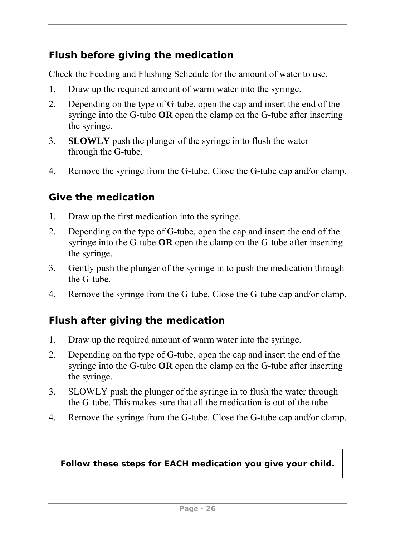#### **Flush before giving the medication**

Check the Feeding and Flushing Schedule for the amount of water to use.

- 1. Draw up the required amount of warm water into the syringe.
- 2. Depending on the type of G-tube, open the cap and insert the end of the syringe into the G-tube **OR** open the clamp on the G-tube after inserting the syringe.
- 3. **SLOWLY** push the plunger of the syringe in to flush the water through the G-tube.
- 4. Remove the syringe from the G-tube. Close the G-tube cap and/or clamp.

#### **Give the medication**

- 1. Draw up the first medication into the syringe.
- 2. Depending on the type of G-tube, open the cap and insert the end of the syringe into the G-tube **OR** open the clamp on the G-tube after inserting the syringe.
- 3. Gently push the plunger of the syringe in to push the medication through the G-tube.
- 4. Remove the syringe from the G-tube. Close the G-tube cap and/or clamp.

#### **Flush after giving the medication**

- 1. Draw up the required amount of warm water into the syringe.
- 2. Depending on the type of G-tube, open the cap and insert the end of the syringe into the G-tube **OR** open the clamp on the G-tube after inserting the syringe.
- 3. SLOWLY push the plunger of the syringe in to flush the water through the G-tube. This makes sure that all the medication is out of the tube.
- 4. Remove the syringe from the G-tube. Close the G-tube cap and/or clamp.

#### **Follow these steps for EACH medication you give your child.**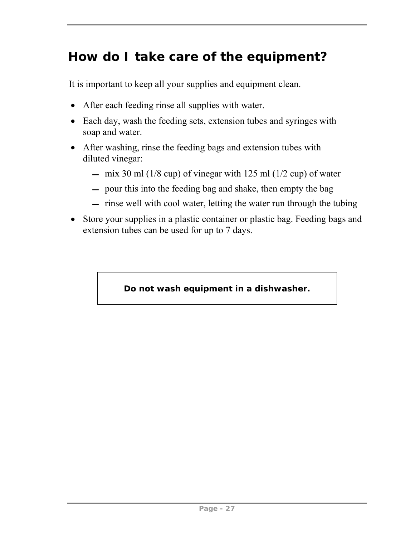# **How do I take care of the equipment?**

It is important to keep all your supplies and equipment clean.

- After each feeding rinse all supplies with water.
- Each day, wash the feeding sets, extension tubes and syringes with soap and water.
- After washing, rinse the feeding bags and extension tubes with diluted vinegar:
	- $-$  mix 30 ml (1/8 cup) of vinegar with 125 ml (1/2 cup) of water
	- pour this into the feeding bag and shake, then empty the bag
	- $-$  rinse well with cool water, letting the water run through the tubing
- Store your supplies in a plastic container or plastic bag. Feeding bags and extension tubes can be used for up to 7 days.

#### **Do not wash equipment in a dishwasher.**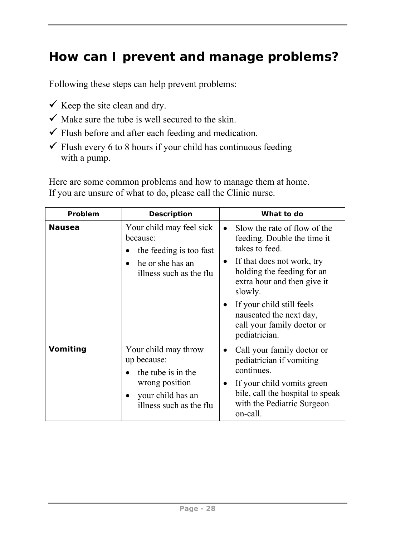# **How can I prevent and manage problems?**

Following these steps can help prevent problems:

- $\checkmark$  Keep the site clean and dry.
- $\checkmark$  Make sure the tube is well secured to the skin.
- $\checkmark$  Flush before and after each feeding and medication.
- $\checkmark$  Flush every 6 to 8 hours if your child has continuous feeding with a pump.

Here are some common problems and how to manage them at home. If you are unsure of what to do, please call the Clinic nurse.

| Problem       | <b>Description</b>                                                                                                                       | What to do                                                                                                                                                                                                                                                                                                           |
|---------------|------------------------------------------------------------------------------------------------------------------------------------------|----------------------------------------------------------------------------------------------------------------------------------------------------------------------------------------------------------------------------------------------------------------------------------------------------------------------|
| <b>Nausea</b> | Your child may feel sick<br>because:<br>the feeding is too fast<br>he or she has an<br>$\bullet$<br>illness such as the flu              | Slow the rate of flow of the<br>$\bullet$<br>feeding. Double the time it<br>takes to feed.<br>If that does not work, try<br>$\bullet$<br>holding the feeding for an<br>extra hour and then give it<br>slowly.<br>If your child still feels<br>nauseated the next day,<br>call your family doctor or<br>pediatrician. |
| Vomiting      | Your child may throw<br>up because:<br>the tube is in the<br>wrong position<br>your child has an<br>$\bullet$<br>illness such as the flu | Call your family doctor or<br>pediatrician if vomiting<br>continues.<br>If your child vomits green<br>bile, call the hospital to speak<br>with the Pediatric Surgeon<br>on-call.                                                                                                                                     |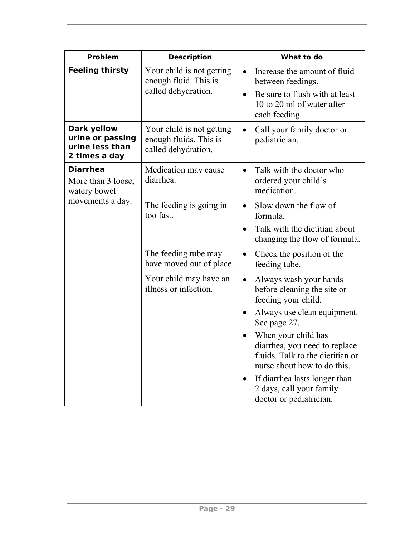| Problem                                                             | <b>Description</b>                                                         | What to do                                                                                                                                            |
|---------------------------------------------------------------------|----------------------------------------------------------------------------|-------------------------------------------------------------------------------------------------------------------------------------------------------|
| <b>Feeling thirsty</b>                                              | Your child is not getting<br>enough fluid. This is<br>called dehydration.  | Increase the amount of fluid<br>between feedings.<br>Be sure to flush with at least<br>10 to 20 ml of water after<br>each feeding.                    |
| Dark yellow<br>urine or passing<br>urine less than<br>2 times a day | Your child is not getting<br>enough fluids. This is<br>called dehydration. | Call your family doctor or<br>pediatrician.                                                                                                           |
| <b>Diarrhea</b><br>More than 3 loose,<br>watery bowel               | Medication may cause<br>diarrhea.                                          | Talk with the doctor who<br>$\bullet$<br>ordered your child's<br>medication.                                                                          |
| movements a day.                                                    | The feeding is going in<br>too fast.                                       | Slow down the flow of<br>$\bullet$<br>formula.<br>Talk with the dietitian about<br>changing the flow of formula.                                      |
|                                                                     | The feeding tube may<br>have moved out of place.                           | Check the position of the<br>$\bullet$<br>feeding tube.                                                                                               |
|                                                                     | Your child may have an<br>illness or infection.                            | Always wash your hands<br>$\bullet$<br>before cleaning the site or<br>feeding your child.<br>Always use clean equipment.<br>$\bullet$<br>See page 27. |
|                                                                     |                                                                            | When your child has<br>$\bullet$<br>diarrhea, you need to replace<br>fluids. Talk to the dietitian or<br>nurse about how to do this.                  |
|                                                                     |                                                                            | If diarrhea lasts longer than<br>$\bullet$<br>2 days, call your family<br>doctor or pediatrician.                                                     |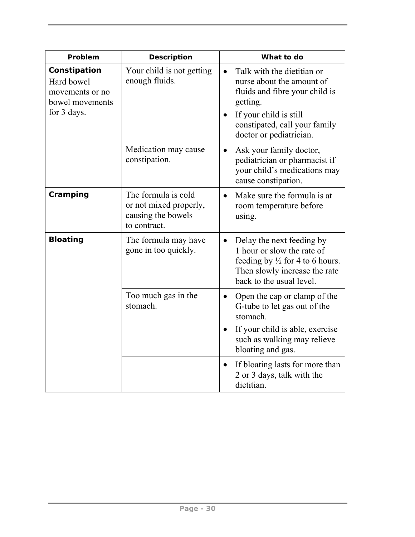| Problem                                                                         | <b>Description</b>                                                                  | What to do                                                                                                                                                                                                            |
|---------------------------------------------------------------------------------|-------------------------------------------------------------------------------------|-----------------------------------------------------------------------------------------------------------------------------------------------------------------------------------------------------------------------|
| Constipation<br>Hard bowel<br>movements or no<br>bowel movements<br>for 3 days. | Your child is not getting<br>enough fluids.                                         | Talk with the dietitian or<br>$\bullet$<br>nurse about the amount of<br>fluids and fibre your child is<br>getting.<br>If your child is still<br>$\bullet$<br>constipated, call your family<br>doctor or pediatrician. |
|                                                                                 | Medication may cause<br>constipation.                                               | Ask your family doctor,<br>$\bullet$<br>pediatrician or pharmacist if<br>your child's medications may<br>cause constipation.                                                                                          |
| Cramping                                                                        | The formula is cold<br>or not mixed properly,<br>causing the bowels<br>to contract. | Make sure the formula is at<br>$\bullet$<br>room temperature before<br>using.                                                                                                                                         |
| <b>Bloating</b>                                                                 | The formula may have<br>gone in too quickly.                                        | Delay the next feeding by<br>$\bullet$<br>1 hour or slow the rate of<br>feeding by $\frac{1}{2}$ for 4 to 6 hours.<br>Then slowly increase the rate<br>back to the usual level.                                       |
|                                                                                 | Too much gas in the<br>stomach.                                                     | Open the cap or clamp of the<br>$\bullet$<br>G-tube to let gas out of the<br>stomach.                                                                                                                                 |
|                                                                                 |                                                                                     | If your child is able, exercise<br>such as walking may relieve<br>bloating and gas.                                                                                                                                   |
|                                                                                 |                                                                                     | If bloating lasts for more than<br>$\bullet$<br>2 or 3 days, talk with the<br>dietitian.                                                                                                                              |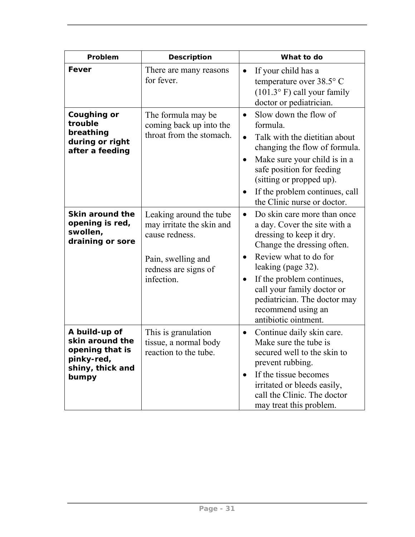| Problem                                                                                        | <b>Description</b>                                                                                                                 | What to do                                                                                                                                                                                                                                                                                                                                           |
|------------------------------------------------------------------------------------------------|------------------------------------------------------------------------------------------------------------------------------------|------------------------------------------------------------------------------------------------------------------------------------------------------------------------------------------------------------------------------------------------------------------------------------------------------------------------------------------------------|
| Fever                                                                                          | There are many reasons<br>for fever.                                                                                               | If your child has a<br>$\bullet$<br>temperature over 38.5° C<br>(101.3° F) call your family<br>doctor or pediatrician.                                                                                                                                                                                                                               |
| Coughing or<br>trouble<br>breathing<br>during or right<br>after a feeding                      | The formula may be<br>coming back up into the<br>throat from the stomach.                                                          | Slow down the flow of<br>$\bullet$<br>formula.<br>Talk with the dietitian about<br>$\bullet$<br>changing the flow of formula.<br>Make sure your child is in a<br>$\bullet$<br>safe position for feeding<br>(sitting or propped up).<br>If the problem continues, call<br>the Clinic nurse or doctor.                                                 |
| Skin around the<br>opening is red,<br>swollen,<br>draining or sore                             | Leaking around the tube<br>may irritate the skin and<br>cause redness.<br>Pain, swelling and<br>redness are signs of<br>infection. | Do skin care more than once<br>$\bullet$<br>a day. Cover the site with a<br>dressing to keep it dry.<br>Change the dressing often.<br>Review what to do for<br>$\bullet$<br>leaking (page 32).<br>If the problem continues,<br>$\bullet$<br>call your family doctor or<br>pediatrician. The doctor may<br>recommend using an<br>antibiotic ointment. |
| A build-up of<br>skin around the<br>opening that is<br>pinky-red,<br>shiny, thick and<br>bumpy | This is granulation<br>tissue, a normal body<br>reaction to the tube.                                                              | Continue daily skin care.<br>$\bullet$<br>Make sure the tube is<br>secured well to the skin to<br>prevent rubbing.<br>If the tissue becomes<br>$\bullet$<br>irritated or bleeds easily,<br>call the Clinic. The doctor<br>may treat this problem.                                                                                                    |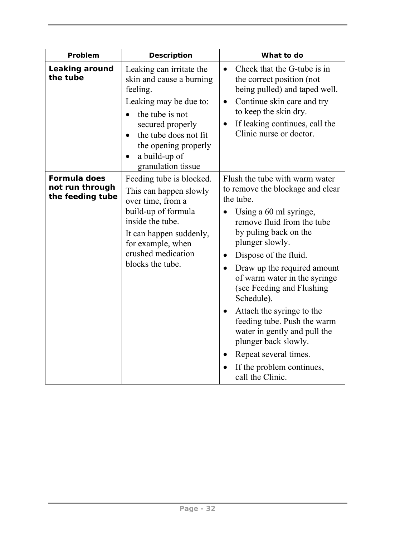| Problem                                             | <b>Description</b>                                                                                                                                                                                                                                               | What to do                                                                                                                                                                                                                                                                                                                                                                                                                                                                                                                                                   |
|-----------------------------------------------------|------------------------------------------------------------------------------------------------------------------------------------------------------------------------------------------------------------------------------------------------------------------|--------------------------------------------------------------------------------------------------------------------------------------------------------------------------------------------------------------------------------------------------------------------------------------------------------------------------------------------------------------------------------------------------------------------------------------------------------------------------------------------------------------------------------------------------------------|
| Leaking around<br>the tube                          | Leaking can irritate the<br>skin and cause a burning<br>feeling.<br>Leaking may be due to:<br>the tube is not<br>$\bullet$<br>secured properly<br>the tube does not fit<br>$\bullet$<br>the opening properly<br>a build-up of<br>$\bullet$<br>granulation tissue | Check that the G-tube is in<br>$\bullet$<br>the correct position (not<br>being pulled) and taped well.<br>Continue skin care and try<br>$\bullet$<br>to keep the skin dry.<br>If leaking continues, call the<br>$\bullet$<br>Clinic nurse or doctor.                                                                                                                                                                                                                                                                                                         |
| Formula does<br>not run through<br>the feeding tube | Feeding tube is blocked.<br>This can happen slowly<br>over time, from a<br>build-up of formula<br>inside the tube.<br>It can happen suddenly,<br>for example, when<br>crushed medication<br>blocks the tube.                                                     | Flush the tube with warm water<br>to remove the blockage and clear<br>the tube.<br>Using a 60 ml syringe,<br>remove fluid from the tube<br>by puling back on the<br>plunger slowly.<br>Dispose of the fluid.<br>$\bullet$<br>Draw up the required amount<br>$\bullet$<br>of warm water in the syringe<br>(see Feeding and Flushing)<br>Schedule).<br>Attach the syringe to the<br>$\bullet$<br>feeding tube. Push the warm<br>water in gently and pull the<br>plunger back slowly.<br>Repeat several times.<br>If the problem continues,<br>call the Clinic. |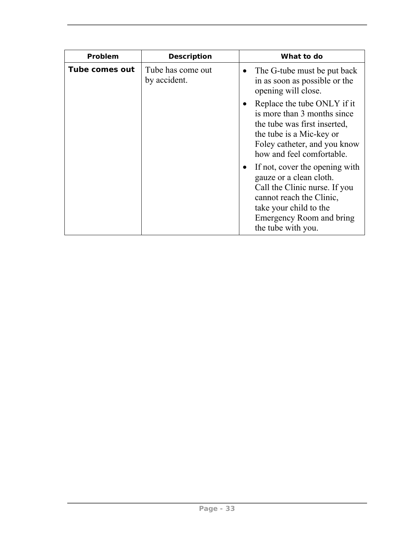| Problem        | <b>Description</b>                | What to do                                                                                                                                                                                                      |
|----------------|-----------------------------------|-----------------------------------------------------------------------------------------------------------------------------------------------------------------------------------------------------------------|
| Tube comes out | Tube has come out<br>by accident. | The G-tube must be put back<br>$\bullet$<br>in as soon as possible or the<br>opening will close.                                                                                                                |
|                |                                   | Replace the tube ONLY if it<br>$\bullet$<br>is more than 3 months since<br>the tube was first inserted,<br>the tube is a Mic-key or<br>Foley catheter, and you know<br>how and feel comfortable.                |
|                |                                   | If not, cover the opening with<br>$\bullet$<br>gauze or a clean cloth.<br>Call the Clinic nurse. If you<br>cannot reach the Clinic,<br>take your child to the<br>Emergency Room and bring<br>the tube with you. |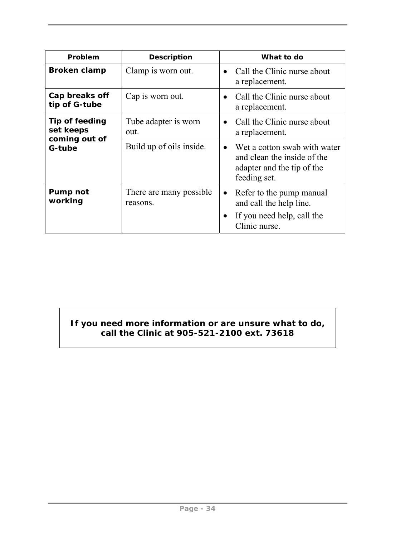| Problem                                      | <b>Description</b>                   | What to do                                                                                                             |
|----------------------------------------------|--------------------------------------|------------------------------------------------------------------------------------------------------------------------|
| <b>Broken clamp</b>                          | Clamp is worn out.                   | • Call the Clinic nurse about<br>a replacement.                                                                        |
| Cap breaks off<br>tip of G-tube              | Cap is worn out.                     | Call the Clinic nurse about<br>a replacement.                                                                          |
| Tip of feeding<br>set keeps<br>coming out of | Tube adapter is worn<br>out.         | Call the Clinic nurse about<br>$\bullet$<br>a replacement.                                                             |
| G-tube                                       | Build up of oils inside.             | Wet a cotton swab with water<br>$\bullet$<br>and clean the inside of the<br>adapter and the tip of the<br>feeding set. |
| Pump not<br>working                          | There are many possible.<br>reasons. | Refer to the pump manual<br>$\bullet$<br>and call the help line.<br>If you need help, call the<br>Clinic nurse.        |

#### **If you need more information or are unsure what to do, call the Clinic at 905-521-2100 ext. 73618**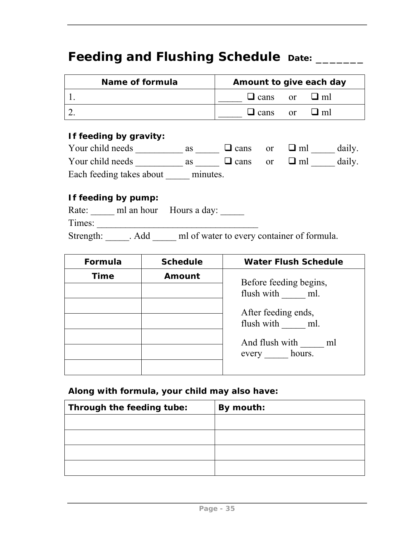## Feeding and Flushing Schedule Date: \_\_\_\_\_\_

| Name of formula | Amount to give each day      |
|-----------------|------------------------------|
|                 | $\Box$ cans or $\Box$ ml     |
|                 | $\Box$ cans or<br>$\sqcup$ m |

#### **If feeding by gravity:**

| Your child needs         | as       | $\Box$ cans or           | $\sqcup$ ml | daily. |
|--------------------------|----------|--------------------------|-------------|--------|
| Your child needs         | as       | $\Box$ cans or $\Box$ ml |             | daily. |
| Each feeding takes about | minutes. |                          |             |        |

#### **If feeding by pump:**

|        |                 | Rate: ml an hour Hours a day:              |
|--------|-----------------|--------------------------------------------|
| Times: |                 |                                            |
|        | Strength: . Add | ml of water to every container of formula. |

| Formula     | <b>Schedule</b> | <b>Water Flush Schedule</b>           |
|-------------|-----------------|---------------------------------------|
| <b>Time</b> | Amount          | Before feeding begins,                |
|             |                 | flush with ml.                        |
|             |                 | After feeding ends,<br>flush with ml. |
|             |                 | And flush with<br>ml<br>every hours.  |
|             |                 |                                       |

**Along with formula, your child may also have:** 

| Through the feeding tube: | By mouth: |
|---------------------------|-----------|
|                           |           |
|                           |           |
|                           |           |
|                           |           |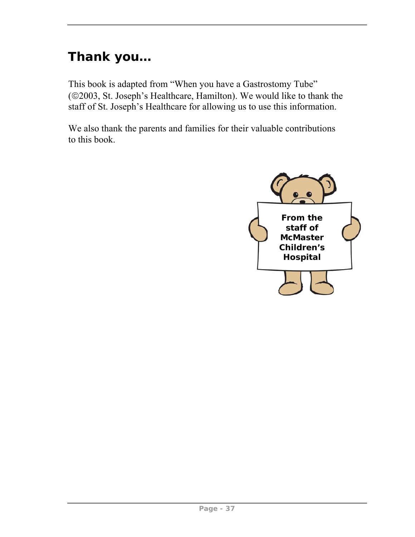# **Thank you…**

This book is adapted from "When you have a Gastrostomy Tube" (©2003, St. Joseph's Healthcare, Hamilton). We would like to thank the staff of St. Joseph's Healthcare for allowing us to use this information.

We also thank the parents and families for their valuable contributions to this book.

![](_page_42_Picture_3.jpeg)